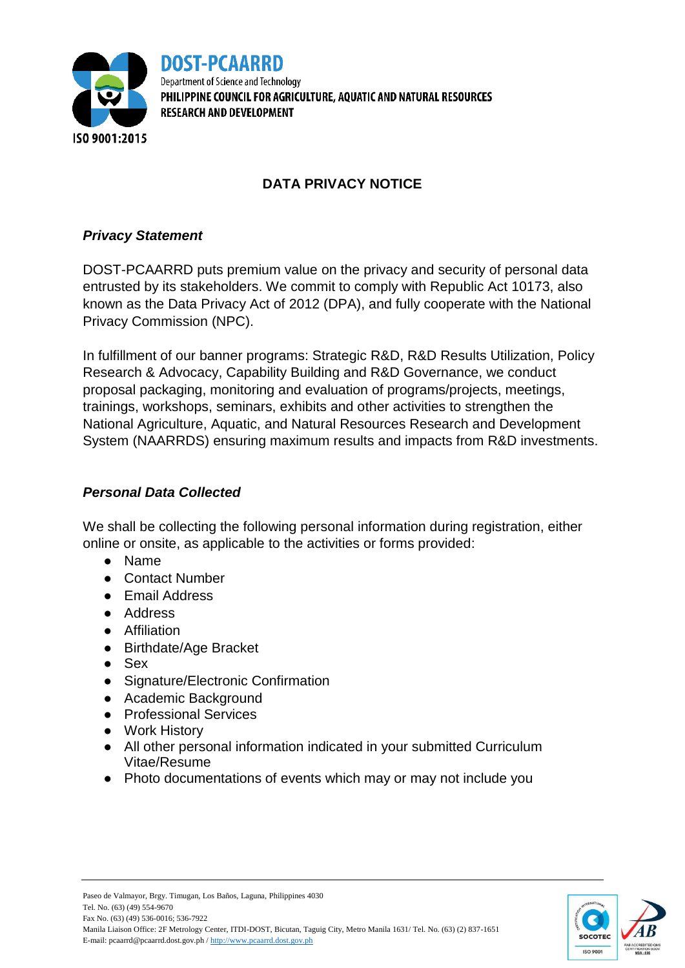

**DOST-PCAARRD** Department of Science and Technology PHILIPPINE COUNCIL FOR AGRICULTURE, AOUATIC AND NATURAL RESOURCES **RESEARCH AND DEVELOPMENT** 

# **DATA PRIVACY NOTICE**

### *Privacy Statement*

DOST-PCAARRD puts premium value on the privacy and security of personal data entrusted by its stakeholders. We commit to comply with Republic Act 10173, also known as the Data Privacy Act of 2012 (DPA), and fully cooperate with the National Privacy Commission (NPC).

In fulfillment of our banner programs: Strategic R&D, R&D Results Utilization, Policy Research & Advocacy, Capability Building and R&D Governance, we conduct proposal packaging, monitoring and evaluation of programs/projects, meetings, trainings, workshops, seminars, exhibits and other activities to strengthen the National Agriculture, Aquatic, and Natural Resources Research and Development System (NAARRDS) ensuring maximum results and impacts from R&D investments.

#### *Personal Data Collected*

We shall be collecting the following personal information during registration, either online or onsite, as applicable to the activities or forms provided:

- Name
- Contact Number
- Email Address
- Address
- Affiliation
- Birthdate/Age Bracket
- Sex
- Signature/Electronic Confirmation
- Academic Background
- Professional Services
- Work History
- All other personal information indicated in your submitted Curriculum Vitae/Resume
- Photo documentations of events which may or may not include you

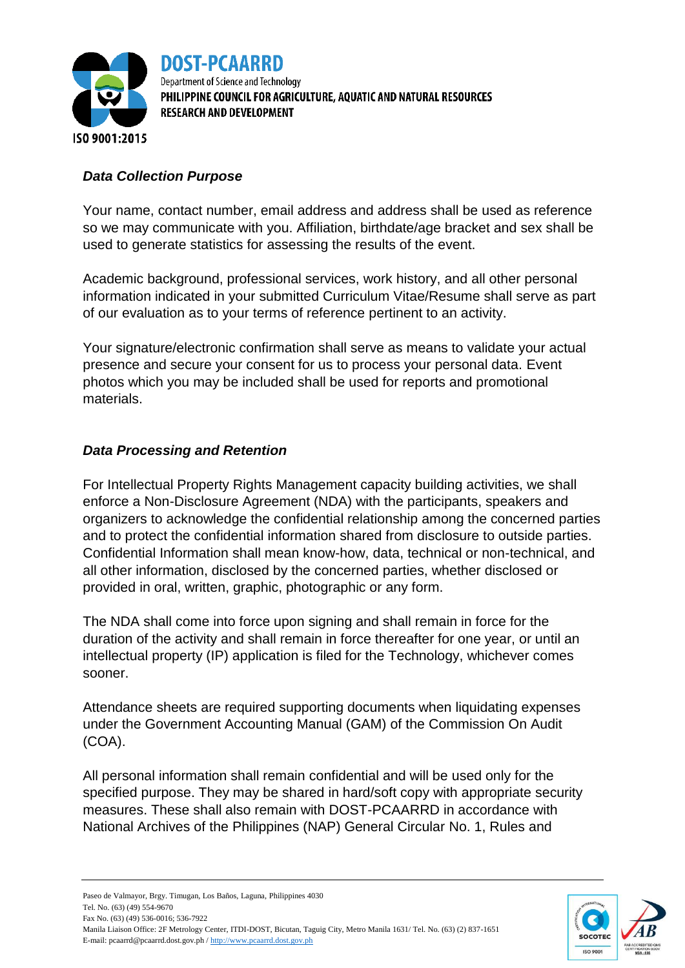

DOST-PCAARRD Department of Science and Technology PHILIPPINE COUNCIL FOR AGRICULTURE, AQUATIC AND NATURAL RESOURCES **RESEARCH AND DEVELOPMENT** 

### *Data Collection Purpose*

Your name, contact number, email address and address shall be used as reference so we may communicate with you. Affiliation, birthdate/age bracket and sex shall be used to generate statistics for assessing the results of the event.

Academic background, professional services, work history, and all other personal information indicated in your submitted Curriculum Vitae/Resume shall serve as part of our evaluation as to your terms of reference pertinent to an activity.

Your signature/electronic confirmation shall serve as means to validate your actual presence and secure your consent for us to process your personal data. Event photos which you may be included shall be used for reports and promotional materials.

#### *Data Processing and Retention*

For Intellectual Property Rights Management capacity building activities, we shall enforce a Non-Disclosure Agreement (NDA) with the participants, speakers and organizers to acknowledge the confidential relationship among the concerned parties and to protect the confidential information shared from disclosure to outside parties. Confidential Information shall mean know-how, data, technical or non-technical, and all other information, disclosed by the concerned parties, whether disclosed or provided in oral, written, graphic, photographic or any form.

The NDA shall come into force upon signing and shall remain in force for the duration of the activity and shall remain in force thereafter for one year, or until an intellectual property (IP) application is filed for the Technology, whichever comes sooner.

Attendance sheets are required supporting documents when liquidating expenses under the Government Accounting Manual (GAM) of the Commission On Audit (COA).

All personal information shall remain confidential and will be used only for the specified purpose. They may be shared in hard/soft copy with appropriate security measures. These shall also remain with DOST-PCAARRD in accordance with National Archives of the Philippines (NAP) General Circular No. 1, Rules and